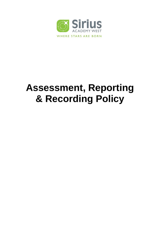

# **Assessment, Reporting & Recording Policy**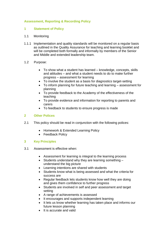# **Assessment, Reporting & Recording Policy**

# **1 Statement of Policy**

# 1.1 Monitoring

1.1.1 Implementation and quality standards will be monitored on a regular basis as outlined in the Quality Assurance for teaching and learning booklet and will be completed both formally and informally by members of the Senior and Middle and extended leadership team.

# 1.2 Purpose:

- To show what a student has learned knowledge, concepts, skills and attitudes – and what a student needs to do to make further progress – assessment for learning
- To involve the student as a basis for diagnostics target-setting
- To inform planning for future teaching and learning assessment for planning
- To provide feedback to the Academy of the effectiveness of the teaching
- To provide evidence and information for reporting to parents and carers
- To feedback to students to ensure progress is made

# **2 Other Polices**

- 2.1 This policy should be read in conjunction with the following polices:
	- Homework & Extended Learning Policy
	- Feedback Policy

# **3 Key Principles**

- 3.1 Assessment is effective when:
	- Assessment for learning is integral to the learning process
	- Students understand why they are learning something understand the big picture
	- Learning intentions are shared with students
	- Students know what is being assessed and what the criteria for success are
	- Regular feedback lets students know how well they are doing and gives them confidence to further progress
	- Students are involved in self and peer assessment and target setting
	- A range of achievements is assessed
	- It encourages and supports independent learning
	- It lets us know whether learning has taken place and informs our future lesson planning
	- It is accurate and valid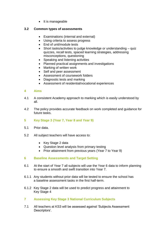$\bullet$  It is manageable

# **3.2 Common types of assessments**

- Examinations (internal and external)
- Using criteria to assess progress
- End of unit/module tests
- Short tasks/activities to judge knowledge or understanding quiz quizzes, recall tests, spaced learning strategies, addressing misconceptions, questioning
- Speaking and listening activities
- Planned practical assignments and investigations
- Marking of written work
- Self and peer assessment
- Assessment of coursework folders
- Diagnostic tests and marking
- Assessment of residential/vocational experiences

# **4 Aims**

- 4.1 A consistent Academy approach to marking which is easily understood by all.
- 4.2 The policy provides accurate feedback on work completed and guidance for future tasks.
- **5 Key Stage 3 (Year 7, Year 8 and Year 9)**
- 5.1 Prior data.
- 5.2 All subject teachers will have access to:
	- Key Stage 2 data
	- Question level analysis from primary testing
	- Prior attainment from previous years (Year 7 to Year 9)

# **6 Baseline Assessments and Target Setting**

- 6.1 At the start of Year 7 all subjects will use the Year 6 data to inform planning to ensure a smooth and swift transition into Year 7.
- 6.1.1 Any students without prior data will be tested to ensure the school has a baseline assessment tasks in the first half-term.
- 6.1.2 Key Stage 2 data will be used to predict progress and attainment to Key Stage 4
- **7 Assessing Key Stage 3 National Curriculum Subjects**
- 7.1 All teachers at KS3 will be assessed against 'Subjects Assessment Descriptors'.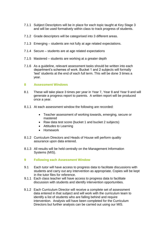- 7.1.1 Subject Descriptors will be in place for each topic taught at Key Stage 3 and will be used formatively within class to track progress of students.
- 7.1.2 Grade descriptors will be categorised into 3 different areas.
- 7.1.3 Emerging students are not fully at age related expectations.
- 7.1.4 Secure students are at age related expectations
- 7.1.5 Mastered students are working at a greater depth
- 7.1.6 As a guideline, relevant assessment tasks should be written into each department's schemes of work. Bucket 1 and 2 subjects will formally 'test' students at the end of each full term. This will be done 3 times a year.

#### **8 Assessment Windows**

- 8.1 These will take place 3 times per year in Year 7, Year 8 and Year 9 and will generate a progress report to parents. A written report will be produced once a year.
- 8.1.1 At each assessment window the following are recorded:
	- Teacher assessment of working towards, emerging, secure or mastered
	- Raw data test score (bucket 1 and bucket 2 subjects)
	- Attitudes to Learning
	- Homework
- 8.1.2 Curriculum Directors and Heads of House will perform quality assurance upon data entered.
- 8.1.3 All results will be held centrally on the Management Information Systems (MIS).
- **9 Following each Assessment Window**
- 9.1 Each tutor will have access to progress data to facilitate discussions with students and carry out any intervention as appropriate. Copies will be kept in the tutor files for reference.
- 9.1.1 Each class teacher will have access to progress data to facilitate discussion with students and identify intervention opportunities.
- 9.1.2 Each Curriculum Director will receive a complete set of assessment data entered in that subject and will work with the curriculum team to identify a list of students who are falling behind and require intervention. Analysis will have been completed for the Curriculum Directors but further analysis can be carried out using our MIS.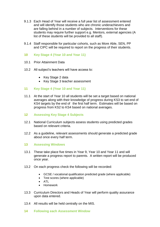- 9.1.3 Each Head of Year will receive a full year list of assessment entered and will identify those students who are chronic underachievers and are falling behind in a number of subjects. Interventions for these students may require further support e.g. Mentors, external agencies (A list of these students will be provided to all staff).
- 9.1.4 Staff responsible for particular cohorts, such as More Able, SEN, PP and CIPC will be required to report on the progress of their students.
- **10 Key Stage 4 (Year 10 and Year 11)**
- 10.1 Prior Attainment Data
- 10.2 All subject's teachers will have access to:
	- Key Stage 2 data
	- Key Stage 3 teacher assessment

# **11 Key Stage 4 (Year 10 and Year 11)**

- 11.1 At the start of Year 10 all students will be set a target based on national averages along with their knowledge of progress during KS3 to set end of KS4 targets by the end of the first half term. Estimates will be based on progress from KS2 to KS4 based on national averages.
- **12 Assessing Key Stage 4 Subjects**
- 12.1 National Curriculum subjects assess students using predicted grades based on relevant criteria.
- 12.2 As a guideline, relevant assessments should generate a predicted grade about once every half term.

# **13 Assessing Windows**

- 13.1 These take place five times in Year 9, Year 10 and Year 11 and will generate a progress report to parents. A written report will be produced once year.
- 13.2 On each progress check the following will be recorded:
	- GCSE / vocational qualification predicted grade (where applicable)
	- Test scores (where applicable)
	- $\bullet$  ATL
	- Homework
- 13.3 Curriculum Directors and Heads of Year will perform quality assurance upon data entered.
- 13.4 All results will be held centrally on the MIS.
- **14 Following each Assessment Window**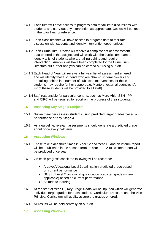- 14.1 Each tutor will have access to progress data to facilitate discussions with students and carry out any intervention as appropriate. Copies will be kept in the tutor files for reference.
- 14.1.1 Each class teacher will have access to progress data to facilitate discussion with students and identify intervention opportunities.
- 14.1.2 Each Curriculum Director will receive a complete set of assessment data entered in that subject and will work with the curriculum team to identify a list of students who are falling behind and require intervention. Analysis will have been completed for the Curriculum Directors but further analysis can be carried out using our MIS.
- 14.1.3 Each Head of Year will receive a full year list of assessment entered and will identify those students who are chronic underachievers and are falling behind in a number of subjects. Interventions for these students may require further support e.g. Mentors, external agencies (A list of these students will be provided to all staff).
- 14.1.4 Staff responsible for particular cohorts, such as More Able, SEN , PP and CIPC will be required to report on the progress of their students.

# **15 Assessing Key Stage 5 Subjects**

- 15.1 Subject teachers assess students using predicted target grades based on performance at Key Stage 4.
- 15.2 As a guideline, relevant assessments should generate a predicted grade about once every half term.

# **16 Assessing Windows**

- 16.1 These take place three times in Year 12 and Year 13 and an interim report will be published in the second term of Year 12. A full written report will be produced once year.
- 16.2 On each progress check the following will be recorded:
	- A-Level/Vocational Level 3qualification predicted grade based on current performance
	- GCSE / Level 2 vocational qualification predicted grade (where applicable) based on current performance
	- Attitude to learning
- 16.3 At the start of Year 12, Key Stage 4 data will be inputted which will generate individual target grades for each student. Curriculum Directors and the Vice Principal Curriculum will quality assure the grades entered.
- 16.4 All results will be held centrally on our MIS.
- **17 Assessing Windows**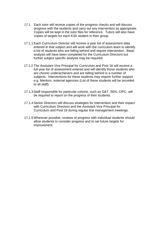- 17.1 Each tutor will receive copies of the progress checks and will discuss progress with the students and carry out any intervention as appropriate. Copies will be kept in the tutor files for reference. Tutors will also have copies of targets for each KS5 student in their group.
- 17.1.1 Each Curriculum Director will receive a year list of assessment data entered in that subject and will work with the curriculum team to identify a list of students who are falling behind and require intervention. Basic analysis will have been completed for the Curriculum Directors but further subject specific analysis may be required.
- 17.1.2 The Assistant Vice Principal for Curriculum and Post 16 will receive a full year list of assessment entered and will identify those students who are chronic underachievers and are falling behind in a number of subjects. Interventions for these students may require further support e.g. Mentors, external agencies (List of these students will be provided to all staff).
- 17.1.3 Staff responsible for particular cohorts, such as G&T, SEN, CIPC, will be required to report on the progress of their students.
- 17.1.4 Senior Directors will discuss strategies for intervention and their impact with Curriculum Directors and the Assistant Vice Principal for Curriculum and Post 16 during regular line management meetings.
- 17.1.5 Wherever possible, reviews of progress with individual students should allow students to consider progress and to set future targets for improvement.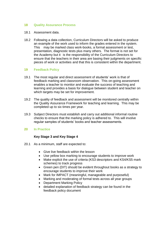# **18 Quality Assurance Process**

- 18.1 Assessment data.
- 18.2 Following a data collection, Curriculum Directors will be asked to produce an example of the work used to inform the grades entered in the system. This may be marked class work-books, a formal assessment or test, presentation, diagnostic tests plus many others. The format is not set for the Academy but it is the responsibility of the Curriculum Directors to ensure that the teachers in their area are basing their judgments on specific pieces of work or activities and that this is consistent within the department.

# **19 Feedback Policy**

- 19.1 The most regular and direct assessment of students' work is that of feedback marking and classroom observation. This on-going assessment enables a teacher to monitor and evaluate the success of teaching and learning and provides a basis for dialogue between student and teacher on which targets may be set for improvement.
- 19.2 The quality of feedback and assessment will be monitored centrally within the Quality Assurance Framework for teaching and learning. This may be completed up to six times per year.
- 19.3 Subject Directors must establish and carry out additional informal routine checks to ensure that the marking policy is adhered to. This will involve regular samples of students' books and teacher assessments.

# **20 In Practice**

# **Key Stage 3 and Key Stage 4**

- 20.1 As a minimum, staff are expected to:
	- Give live feedback within the lesson
	- Use yellow box marking to encourage students to improve work
	- Make explicit the use of criteria (KS3 descriptors and KS4/KS5 mark schemes) to track progress
	- Green pen (DIT) should be evident throughout books as a strategy to encourage students to improve their work
	- Mark for IMPACT (meaningful, manageable and purposeful)
	- Marking and moderating of formal tests across all year groups
	- Department Marking Policy
	- detailed explanation of feedback strategy can be found in the feedback policy document